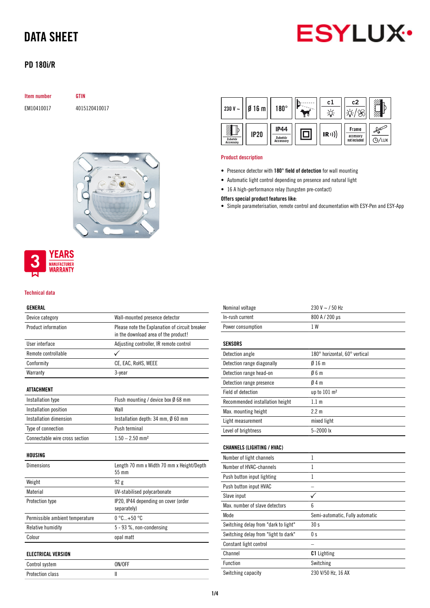

## PD 180i/R

| <b>Item number</b> | <b>GTIN</b> |
|--------------------|-------------|
| EM10410017         | 4015        |

E120410017





#### Technical data

#### GENERAL

| Device category                 | Wall-mounted presence detector                                                         |
|---------------------------------|----------------------------------------------------------------------------------------|
| Product information             | Please note the Explanation of circuit breaker<br>in the download area of the product! |
| User interface                  | Adjusting controller, IR remote control                                                |
| Remote controllable             |                                                                                        |
| Conformity                      | CE, EAC, RoHS, WEEE                                                                    |
| Warranty                        | 3-year                                                                                 |
| <b>ATTACHMENT</b>               |                                                                                        |
| Installation type               | Flush mounting / device box $\emptyset$ 68 mm                                          |
| Installation position           | Wall                                                                                   |
| Installation dimension          | Installation depth: $34 \text{ mm}$ , $\emptyset$ 60 mm                                |
| Type of connection              | Push terminal                                                                          |
| Connectable wire cross section  | $1.50 - 2.50$ mm <sup>2</sup>                                                          |
| HOUSING                         |                                                                                        |
| <b>Dimensions</b>               | Length 70 mm x Width 70 mm x Height/Depth<br>55 mm                                     |
| Weight                          | 92g                                                                                    |
| Material                        | UV-stabilised polycarbonate                                                            |
| <b>Protection type</b>          | IP20, IP44 depending on cover (order<br>separately)                                    |
| Permissible ambient temperature | $0^{\circ}$ C +50 $^{\circ}$ C                                                         |
| Relative humidity               | 5 - 93 %, non-condensing                                                               |
| Colour                          | opal matt                                                                              |
| <b>ELECTRICAL VERSION</b>       |                                                                                        |
| Control system                  | ON/OFF                                                                                 |
| <b>Protection class</b>         | $\mathbf{I}$                                                                           |

| 230 V $\sim$         | 016 <sub>m</sub> | $180^\circ$                                | πn | c I  | c2                                 |       |
|----------------------|------------------|--------------------------------------------|----|------|------------------------------------|-------|
| Zubehör<br>Accessory | <b>IP20</b>      | <b>IP44</b><br>Zubehör<br><b>Accessory</b> |    | (R)) | Frame<br>accessory<br>not included | D/lux |

#### Product description

- Presence detector with 180° field of detection for wall mounting
- Automatic light control depending on presence and natural light
- 16 A high-performance relay (tungsten pre-contact)
- Offers special product features like:
- Simple parameterisation, remote control and documentation with ESY-Pen and ESY-App

| Nominal voltage   | $230 V \sim 750 Hz$ |
|-------------------|---------------------|
| In-rush current   | 800 A / 200 µs      |
| Power consumption | 1 W                 |

### SENSORS

| Detection angle                 | 180° horizontal, 60° vertical |
|---------------------------------|-------------------------------|
| Detection range diagonally      | $0/16$ m                      |
| Detection range head-on         | 06m                           |
| Detection range presence        | 04m                           |
| Field of detection              | up to $101 \text{ m}^2$       |
| Recommended installation height | 1.1 <sub>m</sub>              |
| Max. mounting height            | $2.2 \text{ m}$               |
| Light measurement               | mixed light                   |
| Level of brightness             | $5 - 2000$ lx                 |

### CHANNELS (LIGHTING / HVAC)

| Number of light channels             | 1                               |
|--------------------------------------|---------------------------------|
| Number of HVAC-channels              | 1                               |
| Push button input lighting           | 1                               |
| Push button input HVAC               |                                 |
| Slave input                          |                                 |
| Max, number of slave detectors       | 6                               |
| Mode                                 | Semi-automatic, Fully automatic |
| Switching delay from "dark to light" | 30 s                            |
| Switching delay from "light to dark" | 0 s                             |
| Constant light control               |                                 |
| Channel                              | <b>C1</b> Lighting              |
| Function                             | Switching                       |
| Switching capacity                   | 230 V/50 Hz, 16 AX              |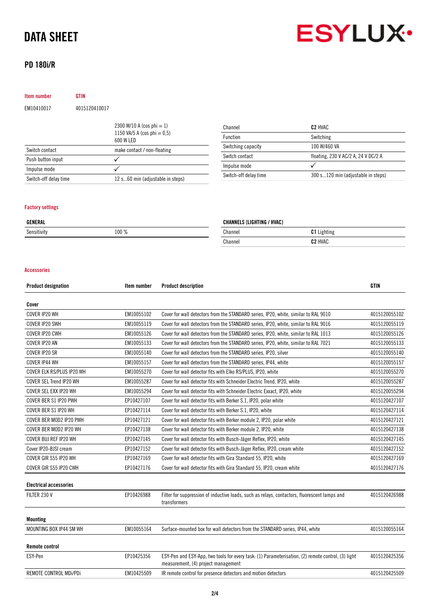## PD 180i/R



Item number GTIN EM10410017 4015120410017

|                       | 2300 W/10 A (cos phi $= 1$ )<br>1150 VA/5 A (cos phi = $0,5$ )<br>600 W LED |
|-----------------------|-----------------------------------------------------------------------------|
| Switch contact        | make contact / non-floating                                                 |
| Push button input     |                                                                             |
| Impulse mode          |                                                                             |
| Switch-off delay time | 12 s60 min (adjustable in steps)                                            |

| Channel               | C2 HVAC                             |
|-----------------------|-------------------------------------|
| <b>Function</b>       | Switching                           |
| Switching capacity    | 100 W/460 VA                        |
| Switch contact        | floating, 230 V AC/2 A, 24 V DC/2 A |
| Impulse mode          |                                     |
| Switch-off delay time | 300 s120 min (adjustable in steps)  |

### Factory settings

| GENERAL     |       | <b>CHANNELS (LIGHTING / HVAC)</b> |                     |  |
|-------------|-------|-----------------------------------|---------------------|--|
| Sensitivity | 100 % | Channel                           | Lighting            |  |
|             |       | Channel                           | C <sub>2</sub> HVAC |  |

#### Accessories

| <b>Product designation</b>    | Item number | <b>Product description</b>                                                                                                                | <b>GTIN</b>   |
|-------------------------------|-------------|-------------------------------------------------------------------------------------------------------------------------------------------|---------------|
| Cover                         |             |                                                                                                                                           |               |
| COVER IP20 WH                 | EM10055102  | Cover for wall detectors from the STANDARD series, IP20, white, similar to RAL 9010                                                       | 4015120055102 |
| COVER IP20 SWH                | EM10055119  | Cover for wall detectors from the STANDARD series, IP20, white, similar to RAL 9016                                                       | 4015120055119 |
| COVER IP20 CWH                | EM10055126  | Cover for wall detectors from the STANDARD series, IP20, white, similar to RAL 1013                                                       | 4015120055126 |
| COVER IP20 AN                 | EM10055133  | Cover for wall detectors from the STANDARD series, IP20, white, similar to RAL 7021                                                       | 4015120055133 |
| COVER IP20 SR                 | EM10055140  | Cover for wall detectors from the STANDARD series, IP20, silver                                                                           | 4015120055140 |
| COVER IP44 WH                 | EM10055157  | Cover for wall detectors from the STANDARD series, IP44, white                                                                            | 4015120055157 |
| COVER ELK RS/PLUS IP20 WH     | EM10055270  | Cover for wall detector fits with Elko RS/PLUS, IP20, white                                                                               | 4015120055270 |
| COVER SEL Trend IP20 WH       | EM10055287  | Cover for wall detector fits with Schneider Electric Trend, IP20, white                                                                   | 4015120055287 |
| COVER SEL EXX IP20 WH         | EM10055294  | Cover for wall detector fits with Schneider Electric Exxact, IP20, white                                                                  | 4015120055294 |
| COVER BER S1 IP20 PWH         | EP10427107  | Cover for wall detector fits with Berker S.1, IP20, polar white                                                                           | 4015120427107 |
| COVER BER S1 IP20 WH          | EP10427114  | Cover for wall detector fits with Berker S.1, IP20, white                                                                                 | 4015120427114 |
| COVER BER MOD2 IP20 PWH       | EP10427121  | Cover for wall detector fits with Berker module 2, IP20, polar white                                                                      | 4015120427121 |
| COVER BER MOD2 IP20 WH        | EP10427138  | Cover for wall detector fits with Berker module 2, IP20, white                                                                            | 4015120427138 |
| COVER BUJ REF IP20 WH         | EP10427145  | Cover for wall detector fits with Busch-Jäger Reflex, IP20, white                                                                         | 4015120427145 |
| Cover IP20-BJSI cream         | EP10427152  | Cover for wall detector fits with Busch-Jäger Reflex, IP20, cream white                                                                   | 4015120427152 |
| COVER GIR S55 IP20 WH         | EP10427169  | Cover for wall detector fits with Gira Standard 55, IP20, white                                                                           | 4015120427169 |
| COVER GIR S55 IP20 CWH        | EP10427176  | Cover for wall detector fits with Gira Standard 55, IP20, cream white                                                                     | 4015120427176 |
| <b>Electrical accessories</b> |             |                                                                                                                                           |               |
| FILTER 230 V                  | EP10426988  | Filter for suppression of inductive loads, such as relays, contactors, fluorescent lamps and<br>transformers                              | 4015120426988 |
| <b>Mounting</b>               |             |                                                                                                                                           |               |
| MOUNTING BOX IP44 SM WH       | EM10055164  | Surface-mounted box for wall detectors from the STANDARD series, IP44, white                                                              | 4015120055164 |
| <b>Remote control</b>         |             |                                                                                                                                           |               |
| ESY-Pen                       | EP10425356  | ESY-Pen and ESY-App, two tools for every task: (1) Parameterisation, (2) remote control, (3) light<br>measurement, (4) project management | 4015120425356 |
| REMOTE CONTROL MDi/PDi        | EM10425509  | IR remote control for presence detectors and motion detectors                                                                             | 4015120425509 |
|                               |             |                                                                                                                                           |               |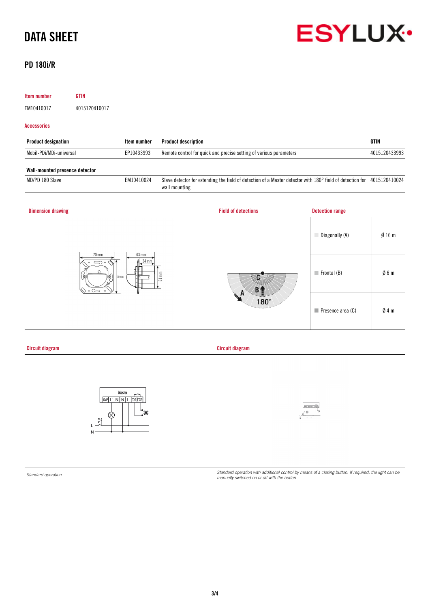

## PD 180i/R

| Item number                                                                                    | <b>GTIN</b>                                                                                                                                                                                                                                                                                                                                           |                                                     |                            |                                                                                                                         |                        |                 |
|------------------------------------------------------------------------------------------------|-------------------------------------------------------------------------------------------------------------------------------------------------------------------------------------------------------------------------------------------------------------------------------------------------------------------------------------------------------|-----------------------------------------------------|----------------------------|-------------------------------------------------------------------------------------------------------------------------|------------------------|-----------------|
| EM10410017                                                                                     | 4015120410017                                                                                                                                                                                                                                                                                                                                         |                                                     |                            |                                                                                                                         |                        |                 |
| <b>Accessories</b>                                                                             |                                                                                                                                                                                                                                                                                                                                                       |                                                     |                            |                                                                                                                         |                        |                 |
| <b>Product designation</b>                                                                     |                                                                                                                                                                                                                                                                                                                                                       | Item number                                         | <b>Product description</b> |                                                                                                                         |                        | <b>GTIN</b>     |
| Mobil-PDi/MDi-universal                                                                        |                                                                                                                                                                                                                                                                                                                                                       | EP10433993                                          |                            | Remote control for quick and precise setting of various parameters                                                      |                        | 4015120433993   |
| Wall-mounted presence detector                                                                 |                                                                                                                                                                                                                                                                                                                                                       |                                                     |                            |                                                                                                                         |                        |                 |
| MD/PD 180 Slave                                                                                |                                                                                                                                                                                                                                                                                                                                                       | EM10410024                                          | wall mounting              | Slave detector for extending the field of detection of a Master detector with 180° field of detection for 4015120410024 |                        |                 |
| <b>Dimension drawing</b>                                                                       |                                                                                                                                                                                                                                                                                                                                                       |                                                     |                            | <b>Field of detections</b>                                                                                              | <b>Detection range</b> |                 |
|                                                                                                |                                                                                                                                                                                                                                                                                                                                                       |                                                     |                            |                                                                                                                         | Diagonally (A)         | Ø16m            |
| 70 mm<br>63 mm<br>34 mm<br>$61 \, \text{mm}$<br>$70 \text{ mm}$<br>$\circ$ $\circlearrowright$ |                                                                                                                                                                                                                                                                                                                                                       |                                                     |                            | $\blacksquare$ Frontal (B)                                                                                              | Ø6m                    |                 |
|                                                                                                |                                                                                                                                                                                                                                                                                                                                                       |                                                     |                            | $180^\circ$                                                                                                             | Presence area (C)      | $\emptyset$ 4 m |
| <b>Circuit diagram</b>                                                                         |                                                                                                                                                                                                                                                                                                                                                       |                                                     |                            | <b>Circuit diagram</b>                                                                                                  |                        |                 |
|                                                                                                | $\begin{picture}(180,10) \put(0,0){\line(1,0){155}} \put(15,0){\line(1,0){155}} \put(15,0){\line(1,0){155}} \put(15,0){\line(1,0){155}} \put(15,0){\line(1,0){155}} \put(15,0){\line(1,0){155}} \put(15,0){\line(1,0){155}} \put(15,0){\line(1,0){155}} \put(15,0){\line(1,0){155}} \put(15,0){\line(1,0){155}} \put(15,0){\line(1,0){155}}$<br>$N -$ | Master<br>$S/P   L'   N   N   L   D1   D2  $<br>—•° |                            |                                                                                                                         | $\frac{1}{2}$          |                 |

*Standard operation Standard operation with additional control by means of a closing button. If required, the light can be manually switched on or off with the button.*